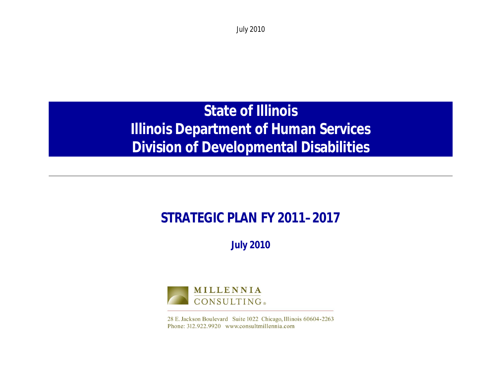# **State of Illinois Illinois Department of Human Services Division of Developmental Disabilities**

## **STRATEGIC PLAN FY 2011–2017**

**July 2010**



28 E. Jackson Boulevard Suite 1022 Chicago, Illinois 60604-2263 Phone: 312.922.9920 www.consultmillennia.com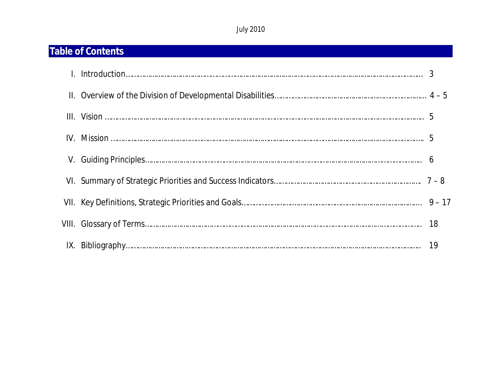## **Table of Contents**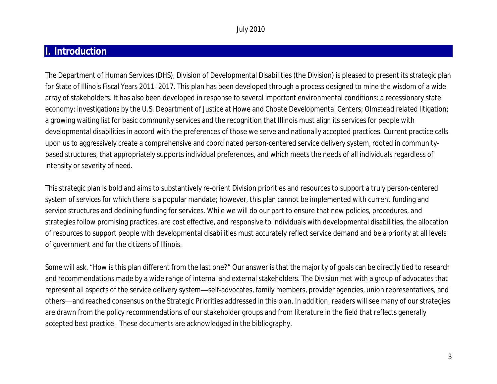## **I. Introduction**

The Department of Human Services (DHS), Division of Developmental Disabilities (the Division) is pleased to present its strategic plan for State of Illinois Fiscal Years 2011–2017. This plan has been developed through a process designed to mine the wisdom of a wide array of stakeholders. It has also been developed in response to several important environmental conditions: a recessionary state economy; investigations by the U.S. Department of Justice at Howe and Choate Developmental Centers; *Olmstead* related litigation; a growing waiting list for basic community services and the recognition that Illinois must align its services for people with developmental disabilities in accord with the preferences of those we serve and nationally accepted practices. Current practice calls upon us to aggressively create a comprehensive and coordinated person-centered service delivery system, rooted in communitybased structures, that appropriately supports individual preferences, and which meets the needs of all individuals regardless of intensity or severity of need.

This strategic plan is bold and aims to substantively re-orient Division priorities and resources to support a truly person-centered system of services for which there is a popular mandate; however, this plan cannot be implemented with current funding and service structures and declining funding for services. While we will do our part to ensure that new policies, procedures, and strategies follow promising practices, are cost effective, and responsive to individuals with developmental disabilities, the allocation of resources to support people with developmental disabilities must accurately reflect service demand and be a priority at all levels of government and for the citizens of Illinois.

Some will ask, "How is this plan different from the last one?" Our answer is that the majority of goals can be directly tied to research and recommendations made by a wide range of internal and external stakeholders. The Division met with a group of advocates that represent all aspects of the service delivery system—self-advocates, family members, provider agencies, union representatives, and others—and reached consensus on the Strategic Priorities addressed in this plan. In addition, readers will see many of our strategies are drawn from the policy recommendations of our stakeholder groups and from literature in the field that reflects generally accepted best practice. These documents are acknowledged in the bibliography.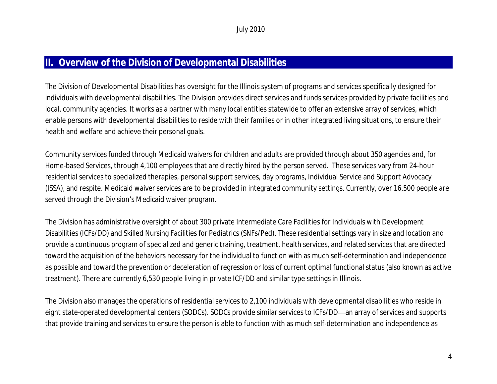### **II. Overview of the Division of Developmental Disabilities**

The Division of Developmental Disabilities has oversight for the Illinois system of programs and services specifically designed for individuals with developmental disabilities. The Division provides direct services and funds services provided by private facilities and local, community agencies. It works as a partner with many local entities statewide to offer an extensive array of services, which enable persons with developmental disabilities to reside with their families or in other integrated living situations, to ensure their health and welfare and achieve their personal goals.

Community services funded through Medicaid waivers for children and adults are provided through about 350 agencies and, for Home-based Services, through 4,100 employees that are directly hired by the person served. These services vary from 24-hour residential services to specialized therapies, personal support services, day programs, Individual Service and Support Advocacy (ISSA), and respite. Medicaid waiver services are to be provided in integrated community settings. Currently, over 16,500 people are served through the Division's Medicaid waiver program.

The Division has administrative oversight of about 300 private Intermediate Care Facilities for Individuals with Development Disabilities (ICFs/DD) and Skilled Nursing Facilities for Pediatrics (SNFs/Ped). These residential settings vary in size and location and provide a continuous program of specialized and generic training, treatment, health services, and related services that are directed toward the acquisition of the behaviors necessary for the individual to function with as much self-determination and independence as possible and toward the prevention or deceleration of regression or loss of current optimal functional status (also known as active treatment). There are currently 6,530 people living in private ICF/DD and similar type settings in Illinois.

The Division also manages the operations of residential services to 2,100 individuals with developmental disabilities who reside in eight state-operated developmental centers (SODCs). SODCs provide similar services to ICFs/DD—an array of services and supports that provide training and services to ensure the person is able to function with as much self-determination and independence as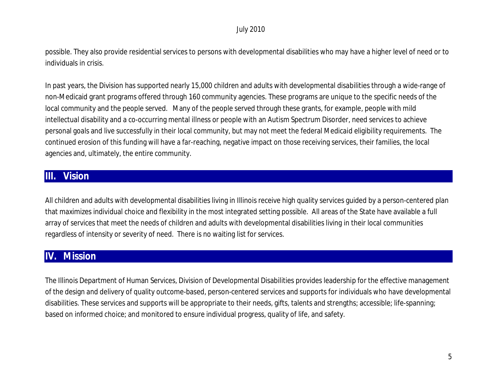possible. They also provide residential services to persons with developmental disabilities who may have a higher level of need or to individuals in crisis.

In past years, the Division has supported nearly 15,000 children and adults with developmental disabilities through a wide-range of non-Medicaid grant programs offered through 160 community agencies. These programs are unique to the specific needs of the local community and the people served. Many of the people served through these grants, for example, people with mild intellectual disability and a co-occurring mental illness or people with an Autism Spectrum Disorder, need services to achieve personal goals and live successfully in their local community, but may not meet the federal Medicaid eligibility requirements. The continued erosion of this funding will have a far-reaching, negative impact on those receiving services, their families, the local agencies and, ultimately, the entire community.

## **III. Vision**

All children and adults with developmental disabilities living in Illinois receive high quality services guided by a person-centered plan that maximizes individual choice and flexibility in the most integrated setting possible. All areas of the State have available a full array of services that meet the needs of children and adults with developmental disabilities living in their local communities regardless of intensity or severity of need. There is no waiting list for services.

## **IV. Mission**

The Illinois Department of Human Services, Division of Developmental Disabilities provides leadership for the effective management of the design and delivery of quality outcome-based, person-centered services and supports for individuals who have developmental disabilities. These services and supports will be appropriate to their needs, gifts, talents and strengths; accessible; life-spanning; based on informed choice; and monitored to ensure individual progress, quality of life, and safety.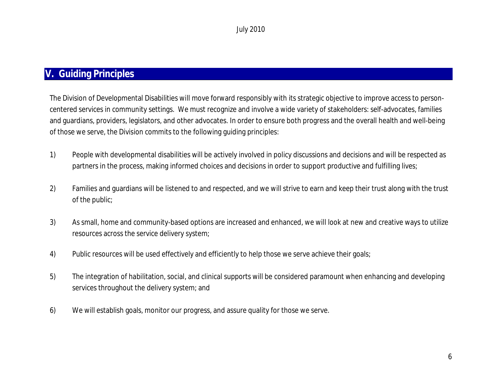## **V. Guiding Principles**

The Division of Developmental Disabilities will move forward responsibly with its strategic objective to improve access to personcentered services in community settings. We must recognize and involve a wide variety of stakeholders: self-advocates, families and guardians, providers, legislators, and other advocates. In order to ensure both progress and the overall health and well-being of those we serve, the Division commits to the following guiding principles:

- 1) People with developmental disabilities will be actively involved in policy discussions and decisions and will be respected as partners in the process, making informed choices and decisions in order to support productive and fulfilling lives;
- 2) Families and guardians will be listened to and respected, and we will strive to earn and keep their trust along with the trust of the public;
- 3) As small, home and community-based options are increased and enhanced, we will look at new and creative ways to utilize resources across the service delivery system;
- 4) Public resources will be used effectively and efficiently to help those we serve achieve their goals;
- 5) The integration of habilitation, social, and clinical supports will be considered paramount when enhancing and developing services throughout the delivery system; and
- 6) We will establish goals, monitor our progress, and assure quality for those we serve.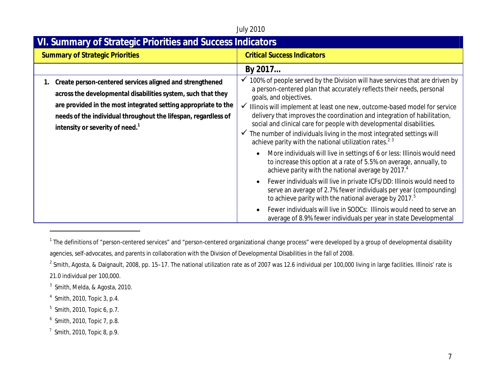#### July 2010 **VI. Summary of Strategic Priorities and Success Indicators Summary of Strategic Priorities**  Calculation **Critical Success Indicators By 2017… 1. Create person-centered services aligned and strengthened across the developmental disabilities system, such that they are provided in the most integrated setting appropriate to the needs of the individual throughout the lifespan, regardless of intensity or severity of need.<sup>1</sup>**  $\checkmark$  100% of people served by the Division will have services that are driven by a person-centered plan that accurately reflects their needs, personal goals, and objectives.  $\checkmark$  Illinois will implement at least one new, outcome-based model for service delivery that improves the coordination and integration of habilitation, social and clinical care for people with developmental disabilities.  $\checkmark$  The number of individuals living in the most integrated settings will achieve parity with the national utilization rates.<sup>23</sup> More individuals will live in settings of 6 or less: Illinois would need to increase this option at a rate of 5.5% on average, annually, to achieve parity with the national average by 2017.<sup>4</sup> Fewer individuals will live in private ICFs/DD: Illinois would need to serve an average of 2.7% fewer individuals per year (compounding) to achieve parity with the national average by 2017.<sup>5</sup> Fewer individuals will live in SODCs: Illinois would need to serve an average of 8.9% fewer individuals per year in state Developmental

- $^3$  Smith, Melda, & Agosta, 2010.
- 4 Smith, 2010, Topic 3, p.4.

- $5$  Smith, 2010, Topic 6, p.7.
- $^6$  Smith, 2010, Topic 7, p.8.
- $<sup>7</sup>$  Smith, 2010, Topic 8, p.9.</sup>

 $^1$  The definitions of "person-centered services" and "person-centered organizational change process" were developed by a group of developmental disability agencies, self-advocates, and parents in collaboration with the Division of Developmental Disabilities in the fall of 2008.

 $^2$  Smith, Agosta, & Daignault, 2008, pp. 15–17. The national utilization rate as of 2007 was 12.6 individual per 100,000 living in large facilities. Illinois' rate is 21.0 individual per 100,000.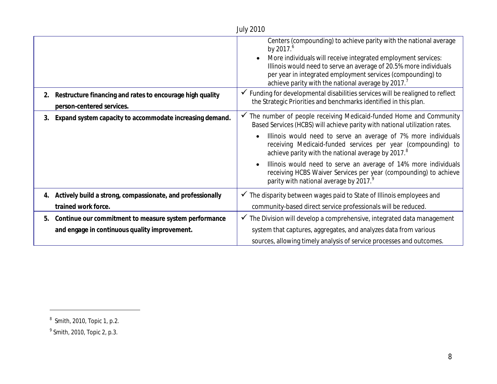| <b>July 2010</b> |                                                                                                                                                    |                                                                                                                                                                                                                                                                                                                                                                                                                                                                                                                                                                                                                                                                                                                                                                                                                                                                                                                                                                                                                     |  |
|------------------|----------------------------------------------------------------------------------------------------------------------------------------------------|---------------------------------------------------------------------------------------------------------------------------------------------------------------------------------------------------------------------------------------------------------------------------------------------------------------------------------------------------------------------------------------------------------------------------------------------------------------------------------------------------------------------------------------------------------------------------------------------------------------------------------------------------------------------------------------------------------------------------------------------------------------------------------------------------------------------------------------------------------------------------------------------------------------------------------------------------------------------------------------------------------------------|--|
| 2.<br>3.         | Restructure financing and rates to encourage high quality<br>person-centered services.<br>Expand system capacity to accommodate increasing demand. | Centers (compounding) to achieve parity with the national average<br>by 2017. <sup>6</sup><br>More individuals will receive integrated employment services:<br>Illinois would need to serve an average of 20.5% more individuals<br>per year in integrated employment services (compounding) to<br>achieve parity with the national average by 2017.<br>$\checkmark$ Funding for developmental disabilities services will be realigned to reflect<br>the Strategic Priorities and benchmarks identified in this plan.<br>The number of people receiving Medicaid-funded Home and Community<br>Based Services (HCBS) will achieve parity with national utilization rates.<br>Illinois would need to serve an average of 7% more individuals<br>receiving Medicaid-funded services per year (compounding) to<br>achieve parity with the national average by 2017. <sup>8</sup><br>Illinois would need to serve an average of 14% more individuals<br>receiving HCBS Waiver Services per year (compounding) to achieve |  |
|                  |                                                                                                                                                    | parity with national average by 2017.9                                                                                                                                                                                                                                                                                                                                                                                                                                                                                                                                                                                                                                                                                                                                                                                                                                                                                                                                                                              |  |
|                  | 4. Actively build a strong, compassionate, and professionally                                                                                      | $\checkmark$ The disparity between wages paid to State of Illinois employees and                                                                                                                                                                                                                                                                                                                                                                                                                                                                                                                                                                                                                                                                                                                                                                                                                                                                                                                                    |  |
|                  | trained work force.                                                                                                                                | community-based direct service professionals will be reduced.                                                                                                                                                                                                                                                                                                                                                                                                                                                                                                                                                                                                                                                                                                                                                                                                                                                                                                                                                       |  |
| 5.               | Continue our commitment to measure system performance                                                                                              | $\checkmark$ The Division will develop a comprehensive, integrated data management                                                                                                                                                                                                                                                                                                                                                                                                                                                                                                                                                                                                                                                                                                                                                                                                                                                                                                                                  |  |
|                  | and engage in continuous quality improvement.                                                                                                      | system that captures, aggregates, and analyzes data from various                                                                                                                                                                                                                                                                                                                                                                                                                                                                                                                                                                                                                                                                                                                                                                                                                                                                                                                                                    |  |
|                  |                                                                                                                                                    | sources, allowing timely analysis of service processes and outcomes.                                                                                                                                                                                                                                                                                                                                                                                                                                                                                                                                                                                                                                                                                                                                                                                                                                                                                                                                                |  |

 $^8$  Smith, 2010, Topic 1, p.2.

 $^9$  Smith, 2010, Topic 2, p.3.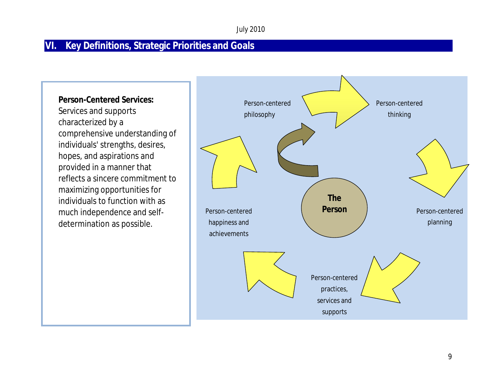## **VI. Key Definitions, Strategic Priorities and Goals**

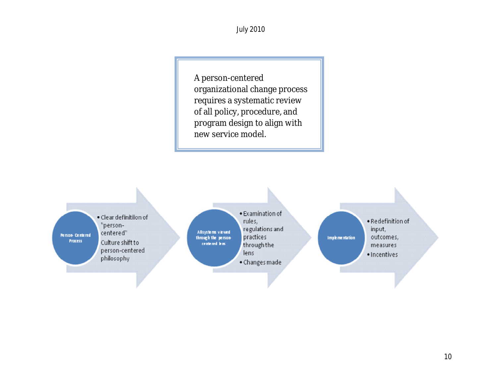A person-centered organizational change process requires a systematic review of all policy, procedure, and program design to align with new service model.

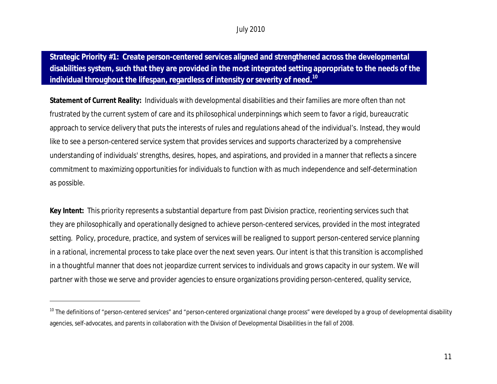**Strategic Priority #1: Create person-centered services aligned and strengthened across the developmental disabilities system, such that they are provided in the most integrated setting appropriate to the needs of the individual throughout the lifespan, regardless of intensity or severity of need.<sup>10</sup>**

**Statement of Current Reality:** Individuals with developmental disabilities and their families are more often than not frustrated by the current system of care and its philosophical underpinnings which seem to favor a rigid, bureaucratic approach to service delivery that puts the interests of rules and regulations ahead of the individual's. Instead, they would like to see a person-centered service system that provides services and supports characterized by a comprehensive understanding of individuals' strengths, desires, hopes, and aspirations, and provided in a manner that reflects a sincere commitment to maximizing opportunities for individuals to function with as much independence and self-determination as possible.

**Key Intent:** This priority represents a substantial departure from past Division practice, reorienting services such that they are philosophically and *operationally* designed to achieve person-centered services, provided in the most integrated setting. Policy, procedure, practice, and system of services will be realigned to support person-centered service planning in a rational, incremental process to take place over the next seven years. Our intent is that this transition is accomplished in a thoughtful manner that does not jeopardize current services to individuals and grows capacity in our system. We will partner with those we serve and provider agencies to ensure organizations providing person-centered, quality service,

 $10$  The definitions of "person-centered services" and "person-centered organizational change process" were developed by a group of developmental disability agencies, self-advocates, and parents in collaboration with the Division of Developmental Disabilities in the fall of 2008.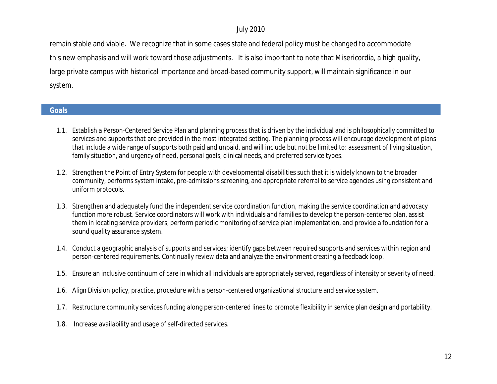remain stable and viable. We recognize that in some cases state and federal policy must be changed to accommodate this new emphasis and will work toward those adjustments. It is also important to note that Misericordia, a high quality, large private campus with historical importance and broad-based community support, will maintain significance in our system.

#### **Goals**

- 1.1. Establish a Person-Centered Service Plan and planning process that is driven by the individual and is philosophically committed to services and supports that are provided in the most integrated setting. The planning process will encourage development of plans that include a wide range of supports both paid and unpaid, and will include but not be limited to: assessment of living situation, family situation, and urgency of need, personal goals, clinical needs, and preferred service types.
- 1.2. Strengthen the Point of Entry System for people with developmental disabilities such that it is widely known to the broader community, performs system intake, pre-admissions screening, and appropriate referral to service agencies using consistent and uniform protocols.
- 1.3. Strengthen and adequately fund the independent service coordination function, making the service coordination and advocacy function more robust. Service coordinators will work with individuals and families to develop the person-centered plan, assist them in locating service providers, perform periodic monitoring of service plan implementation, and provide a foundation for a sound quality assurance system.
- 1.4. Conduct a geographic analysis of supports and services; identify gaps between required supports and services within region and person-centered requirements. Continually review data and analyze the environment creating a feedback loop.
- 1.5. Ensure an inclusive continuum of care in which all individuals are appropriately served, regardless of intensity or severity of need.
- 1.6. Align Division policy, practice, procedure with a person-centered organizational structure and service system.
- 1.7. Restructure community services funding along person-centered lines to promote flexibility in service plan design and portability.
- 1.8. Increase availability and usage of self-directed services.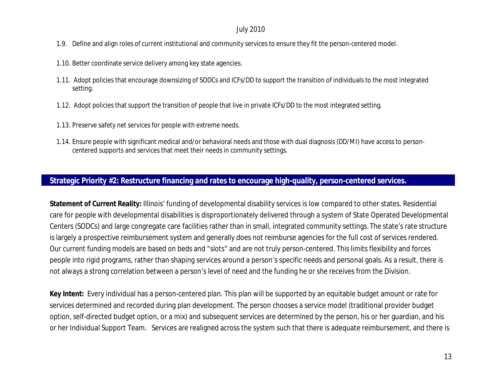- 1.9. Define and align roles of current institutional and community services to ensure they fit the person-centered model.
- 1.10. Better coordinate service delivery among key state agencies.
- 1.11. Adopt policies that encourage downsizing of SODCs and ICFs/DD to support the transition of individuals to the most integrated setting.
- 1.12. Adopt policies that support the transition of people that live in private ICFs/DD to the most integrated setting.
- 1.13. Preserve safety net services for people with extreme needs.
- 1.14. Ensure people with significant medical and/or behavioral needs and those with dual diagnosis (DD/MI) have access to personcentered supports and services that meet their needs in community settings.

#### **Strategic Priority #2: Restructure financing and rates to encourage high-quality, person-centered services.**

**Statement of Current Reality:** Illinois' funding of developmental disability services is low compared to other states. Residential care for people with developmental disabilities is disproportionately delivered through a system of State Operated Developmental Centers (SODCs) and large congregate care facilities rather than in small, integrated community settings. The state's rate structure is largely a prospective reimbursement system and generally does not reimburse agencies for the full cost of services rendered. Our current funding models are based on beds and "slots" and are not truly person-centered. This limits flexibility and forces people into rigid programs, rather than shaping services around a person's specific needs and personal goals. As a result, there is not always a strong correlation between a person's level of need and the funding he or she receives from the Division.

**Key Intent:** Every individual has a person-centered plan. This plan will be supported by an equitable budget amount or rate for services determined and recorded during plan development. The person chooses a service model (traditional provider budget option, self-directed budget option, or a mix) and subsequent services are determined by the person, his or her guardian, and his or her Individual Support Team. Services are realigned across the system such that there is adequate reimbursement, and there is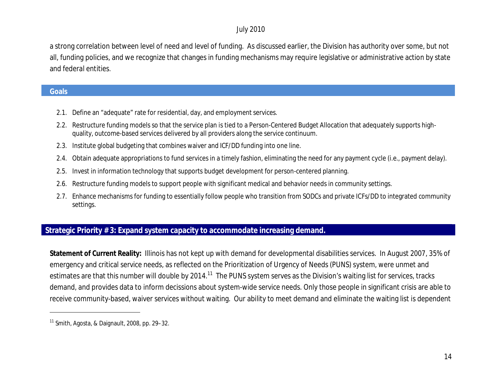a strong correlation between level of need and level of funding. As discussed earlier, the Division has authority over some, but not all, funding policies, and we recognize that changes in funding mechanisms may require legislative or administrative action by state and federal entities.

#### **Goals**

 $\overline{a}$ 

- 2.1. Define an "adequate" rate for residential, day, and employment services.
- 2.2. Restructure funding models so that the service plan is tied to a Person-Centered Budget Allocation that adequately supports highquality, outcome-based services delivered by all providers along the service continuum.
- 2.3. Institute global budgeting that combines waiver and ICF/DD funding into one line.
- 2.4. Obtain adequate appropriations to fund services in a timely fashion, eliminating the need for any payment cycle (i.e., payment delay).
- 2.5. Invest in information technology that supports budget development for person-centered planning.
- 2.6. Restructure funding models to support people with significant medical and behavior needs in community settings.
- 2.7. Enhance mechanisms for funding to essentially follow people who transition from SODCs and private ICFs/DD to integrated community settings.

#### **Strategic Priority # 3: Expand system capacity to accommodate increasing demand.**

**Statement of Current Reality:** Illinois has not kept up with demand for developmental disabilities services. In August 2007, 35% of emergency and critical service needs, as reflected on the Prioritization of Urgency of Needs (PUNS) system, were unmet and estimates are that this number will double by 2014.<sup>11</sup> The PUNS system serves as the Division's waiting list for services, tracks demand, and provides data to inform decissions about system-wide service needs. Only those people in significant crisis are able to receive community-based, waiver services without waiting. Our ability to meet demand and eliminate the waiting list is dependent

 $11$  Smith, Agosta, & Daignault, 2008, pp. 29–32.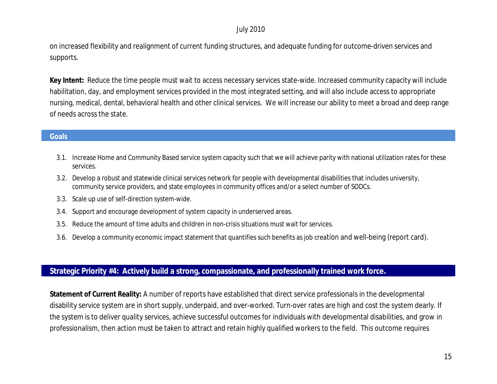on increased flexibility and realignment of current funding structures, and adequate funding for outcome-driven services and supports.

**Key Intent:** Reduce the time people must wait to access necessary services state-wide. Increased community capacity will include habilitation, day, and employment services provided in the most integrated setting, and will also include access to appropriate nursing, medical, dental, behavioral health and other clinical services. We will increase our ability to meet a broad and deep range of needs across the state.

#### **Goals**

- 3.1. Increase Home and Community Based service system capacity such that we will achieve parity with national utilization rates for these services.
- 3.2. Develop a robust and statewide clinical services network for people with developmental disabilities that includes university, community service providers, and state employees in community offices and/or a select number of SODCs.
- 3.3. Scale up use of self-direction system-wide.
- 3.4. Support and encourage development of system capacity in underserved areas.
- 3.5. Reduce the amount of time adults and children in non-crisis situations must wait for services.
- 3.6. Develop a community economic impact statement that quantifies such benefits as job creation and well-being (report card).

#### **Strategic Priority #4: Actively build a strong, compassionate, and professionally trained work force.**

**Statement of Current Reality:** A number of reports have established that direct service professionals in the developmental disability service system are in short supply, underpaid, and over-worked. Turn-over rates are high and cost the system dearly. If the system is to deliver quality services, achieve successful outcomes for individuals with developmental disabilities, and grow in professionalism, then action must be taken to attract and retain highly qualified workers to the field. This outcome requires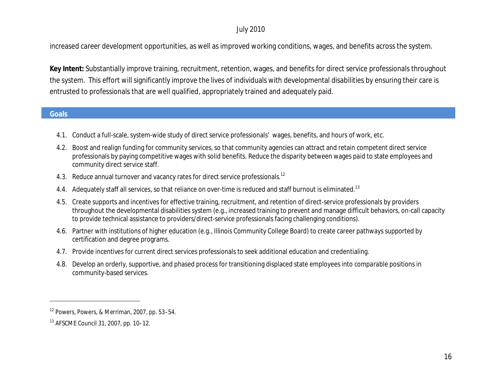increased career development opportunities, as well as improved working conditions, wages, and benefits across the system.

**Key Intent:** Substantially improve training, recruitment, retention, wages, and benefits for direct service professionals throughout the system. This effort will significantly improve the lives of individuals with developmental disabilities by ensuring their care is entrusted to professionals that are well qualified, appropriately trained and adequately paid.

#### **Goals**

- 4.1. Conduct a full-scale, system-wide study of direct service professionals' wages, benefits, and hours of work, etc.
- 4.2. Boost and realign funding for community services, so that community agencies can attract and retain competent direct service professionals by paying competitive wages with solid benefits. Reduce the disparity between wages paid to state employees and community direct service staff.
- 4.3. Reduce annual turnover and vacancy rates for direct service professionals.<sup>12</sup>
- 4.4. Adequately staff all services, so that reliance on over-time is reduced and staff burnout is eliminated.<sup>13</sup>
- 4.5. Create supports and incentives for effective training, recruitment, and retention of direct-service professionals by providers throughout the developmental disabilities system (e.g., increased training to prevent and manage difficult behaviors, on-call capacity to provide technical assistance to providers/direct-service professionals facing challenging conditions).
- 4.6. Partner with institutions of higher education (e.g., Illinois Community College Board) to create career pathways supported by certification and degree programs.
- 4.7. Provide incentives for current direct services professionals to seek additional education and credentialing.
- 4.8. Develop an orderly, supportive, and phased process for transitioning displaced state employees into *comparable* positions in community-based services.

<sup>12</sup> Powers, Powers, & Merriman, 2007, pp. 53–54.

<sup>13</sup> AFSCME Council 31, 2007, pp. 10–12.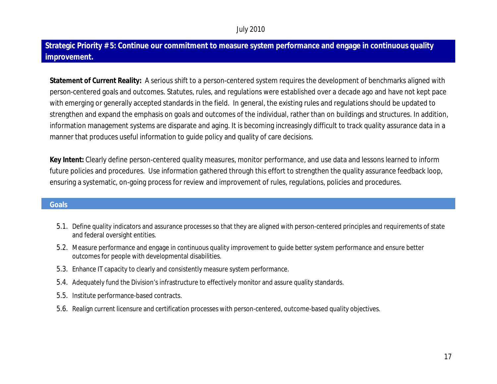## **Strategic Priority # 5: Continue our commitment to measure system performance and engage in continuous quality improvement.**

**Statement of Current Reality:** A serious shift to a person-centered system requires the development of benchmarks aligned with person-centered goals and outcomes. Statutes, rules, and regulations were established over a decade ago and have not kept pace with emerging or generally accepted standards in the field. In general, the existing rules and regulations should be updated to strengthen and expand the emphasis on goals and outcomes of the individual, rather than on buildings and structures. In addition, information management systems are disparate and aging. It is becoming increasingly difficult to track quality assurance data in a manner that produces useful information to guide policy and quality of care decisions.

**Key Intent:** Clearly define person-centered quality measures, monitor performance, and use data and lessons learned to inform future policies and procedures. Use information gathered through this effort to strengthen the quality assurance feedback loop, ensuring a systematic, on-going process for review and improvement of rules, regulations, policies and procedures.

#### **Goals**

- 5.1. Define quality indicators and assurance processes so that they are aligned with person-centered principles and requirements of state and federal oversight entities.
- 5.2. Measure performance and engage in continuous quality improvement to guide better system performance and ensure better outcomes for people with developmental disabilities.
- 5.3. Enhance IT capacity to clearly and consistently measure system performance.
- 5.4. Adequately fund the Division's infrastructure to effectively monitor and assure quality standards.
- 5.5. Institute performance-based contracts.
- 5.6. Realign current licensure and certification processes with person-centered, outcome-based quality objectives.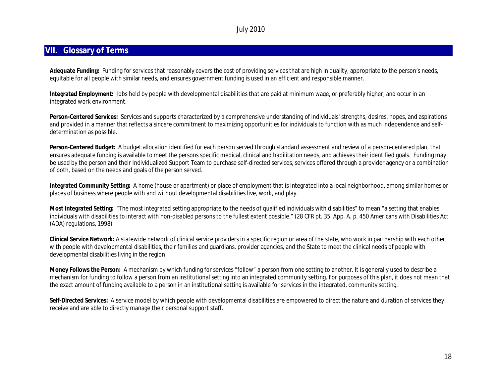#### **VII. Glossary of Terms**

**Adequate Funding:** Funding for services that reasonably covers the cost of providing services that are high in quality, appropriate to the person's needs, equitable for all people with similar needs, and ensures government funding is used in an efficient and responsible manner.

**Integrated Employment:** Jobs held by people with developmental disabilities that are paid at minimum wage, or preferably higher, and occur in an integrated work environment.

**Person-Centered Services:** Services and supports characterized by a comprehensive understanding of individuals' strengths, desires, hopes, and aspirations and provided in a manner that reflects a sincere commitment to maximizing opportunities for individuals to function with as much independence and selfdetermination as possible.

**Person-Centered Budget:** A budget allocation identified for each person served through standard assessment and review of a person-centered plan, that ensures adequate funding is available to meet the persons specific medical, clinical and habilitation needs, and achieves their identified goals. Funding may be used by the person and their Individualized Support Team to purchase self-directed services, services offered through a provider agency or a combination of both, based on the needs and goals of the person served.

**Integrated Community Setting:** A home (house or apartment) or place of employment that is integrated into a local neighborhood, among similar homes or places of business where people with and without developmental disabilities live, work, and play.

**Most Integrated Setting:** "The most integrated setting appropriate to the needs of qualified individuals with disabilities" to mean "a setting that enables individuals with disabilities to interact with non-disabled persons to the fullest extent possible." (28 CFR pt. 35, App. A, p. 450 Americans with Disabilities Act (ADA) regulations, 1998).

**Clinical Service Network:** A statewide network of clinical service providers in a specific region or area of the state, who work in partnership with each other, with people with developmental disabilities, their families and guardians, provider agencies, and the State to meet the clinical needs of people with developmental disabilities living in the region.

**Money Follows the Person:** A mechanism by which funding for services "follow" a person from one setting to another. It is generally used to describe a mechanism for funding to follow a person from an institutional setting into an integrated community setting. For purposes of this plan, it does not mean that the exact amount of funding available to a person in an institutional setting is available for services in the integrated, community setting.

**Self-Directed Services:** A service model by which people with developmental disabilities are empowered to direct the nature and duration of services they receive and are able to directly manage their personal support staff.